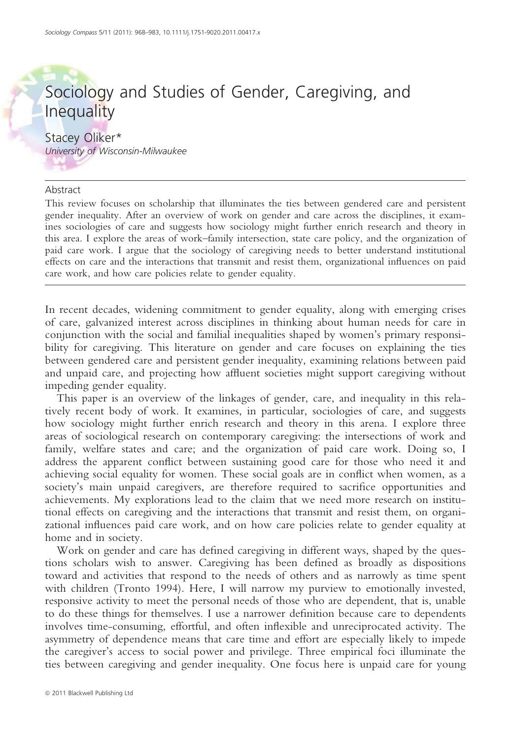# Sociology and Studies of Gender, Caregiving, and **Inequality**

Stacey Oliker\* University of Wisconsin-Milwaukee

#### Abstract

This review focuses on scholarship that illuminates the ties between gendered care and persistent gender inequality. After an overview of work on gender and care across the disciplines, it examines sociologies of care and suggests how sociology might further enrich research and theory in this area. I explore the areas of work–family intersection, state care policy, and the organization of paid care work. I argue that the sociology of caregiving needs to better understand institutional effects on care and the interactions that transmit and resist them, organizational influences on paid care work, and how care policies relate to gender equality.

In recent decades, widening commitment to gender equality, along with emerging crises of care, galvanized interest across disciplines in thinking about human needs for care in conjunction with the social and familial inequalities shaped by women's primary responsibility for caregiving. This literature on gender and care focuses on explaining the ties between gendered care and persistent gender inequality, examining relations between paid and unpaid care, and projecting how affluent societies might support caregiving without impeding gender equality.

This paper is an overview of the linkages of gender, care, and inequality in this relatively recent body of work. It examines, in particular, sociologies of care, and suggests how sociology might further enrich research and theory in this arena. I explore three areas of sociological research on contemporary caregiving: the intersections of work and family, welfare states and care; and the organization of paid care work. Doing so, I address the apparent conflict between sustaining good care for those who need it and achieving social equality for women. These social goals are in conflict when women, as a society's main unpaid caregivers, are therefore required to sacrifice opportunities and achievements. My explorations lead to the claim that we need more research on institutional effects on caregiving and the interactions that transmit and resist them, on organizational influences paid care work, and on how care policies relate to gender equality at home and in society.

Work on gender and care has defined caregiving in different ways, shaped by the questions scholars wish to answer. Caregiving has been defined as broadly as dispositions toward and activities that respond to the needs of others and as narrowly as time spent with children (Tronto 1994). Here, I will narrow my purview to emotionally invested, responsive activity to meet the personal needs of those who are dependent, that is, unable to do these things for themselves. I use a narrower definition because care to dependents involves time-consuming, effortful, and often inflexible and unreciprocated activity. The asymmetry of dependence means that care time and effort are especially likely to impede the caregiver's access to social power and privilege. Three empirical foci illuminate the ties between caregiving and gender inequality. One focus here is unpaid care for young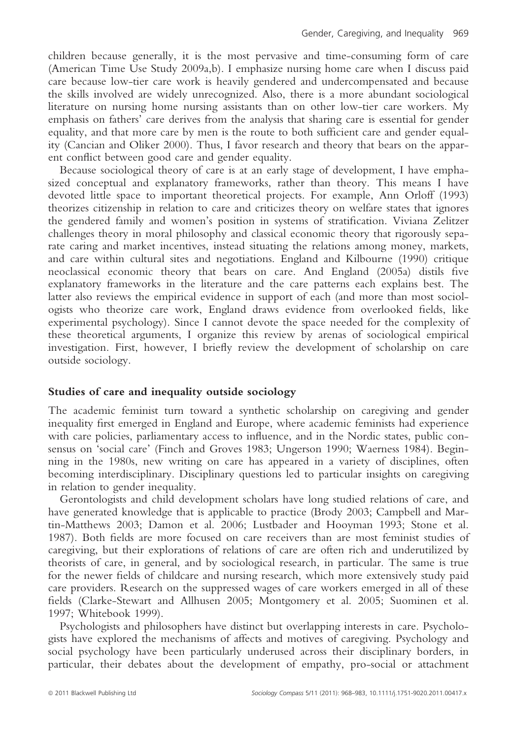children because generally, it is the most pervasive and time-consuming form of care (American Time Use Study 2009a,b). I emphasize nursing home care when I discuss paid care because low-tier care work is heavily gendered and undercompensated and because the skills involved are widely unrecognized. Also, there is a more abundant sociological literature on nursing home nursing assistants than on other low-tier care workers. My emphasis on fathers' care derives from the analysis that sharing care is essential for gender equality, and that more care by men is the route to both sufficient care and gender equality (Cancian and Oliker 2000). Thus, I favor research and theory that bears on the apparent conflict between good care and gender equality.

Because sociological theory of care is at an early stage of development, I have emphasized conceptual and explanatory frameworks, rather than theory. This means I have devoted little space to important theoretical projects. For example, Ann Orloff (1993) theorizes citizenship in relation to care and criticizes theory on welfare states that ignores the gendered family and women's position in systems of stratification. Viviana Zelitzer challenges theory in moral philosophy and classical economic theory that rigorously separate caring and market incentives, instead situating the relations among money, markets, and care within cultural sites and negotiations. England and Kilbourne (1990) critique neoclassical economic theory that bears on care. And England (2005a) distils five explanatory frameworks in the literature and the care patterns each explains best. The latter also reviews the empirical evidence in support of each (and more than most sociologists who theorize care work, England draws evidence from overlooked fields, like experimental psychology). Since I cannot devote the space needed for the complexity of these theoretical arguments, I organize this review by arenas of sociological empirical investigation. First, however, I briefly review the development of scholarship on care outside sociology.

## Studies of care and inequality outside sociology

The academic feminist turn toward a synthetic scholarship on caregiving and gender inequality first emerged in England and Europe, where academic feminists had experience with care policies, parliamentary access to influence, and in the Nordic states, public consensus on 'social care' (Finch and Groves 1983; Ungerson 1990; Waerness 1984). Beginning in the 1980s, new writing on care has appeared in a variety of disciplines, often becoming interdisciplinary. Disciplinary questions led to particular insights on caregiving in relation to gender inequality.

Gerontologists and child development scholars have long studied relations of care, and have generated knowledge that is applicable to practice (Brody 2003; Campbell and Martin-Matthews 2003; Damon et al. 2006; Lustbader and Hooyman 1993; Stone et al. 1987). Both fields are more focused on care receivers than are most feminist studies of caregiving, but their explorations of relations of care are often rich and underutilized by theorists of care, in general, and by sociological research, in particular. The same is true for the newer fields of childcare and nursing research, which more extensively study paid care providers. Research on the suppressed wages of care workers emerged in all of these fields (Clarke-Stewart and Allhusen 2005; Montgomery et al. 2005; Suominen et al. 1997; Whitebook 1999).

Psychologists and philosophers have distinct but overlapping interests in care. Psychologists have explored the mechanisms of affects and motives of caregiving. Psychology and social psychology have been particularly underused across their disciplinary borders, in particular, their debates about the development of empathy, pro-social or attachment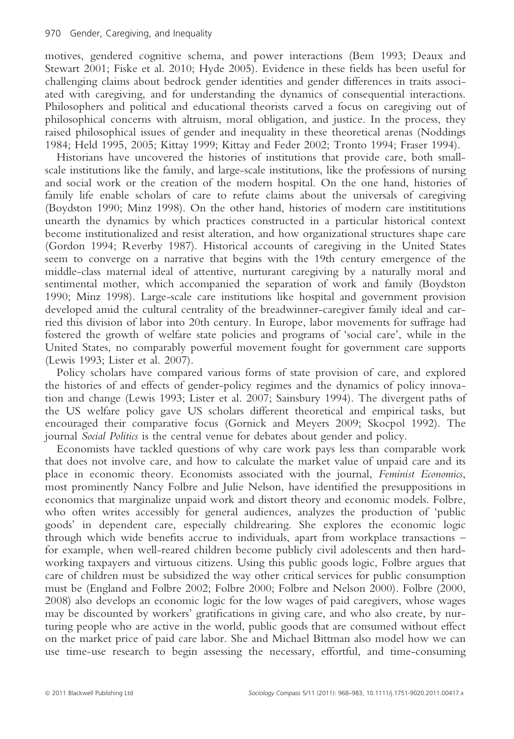motives, gendered cognitive schema, and power interactions (Bem 1993; Deaux and Stewart 2001; Fiske et al. 2010; Hyde 2005). Evidence in these fields has been useful for challenging claims about bedrock gender identities and gender differences in traits associated with caregiving, and for understanding the dynamics of consequential interactions. Philosophers and political and educational theorists carved a focus on caregiving out of philosophical concerns with altruism, moral obligation, and justice. In the process, they raised philosophical issues of gender and inequality in these theoretical arenas (Noddings 1984; Held 1995, 2005; Kittay 1999; Kittay and Feder 2002; Tronto 1994; Fraser 1994).

Historians have uncovered the histories of institutions that provide care, both smallscale institutions like the family, and large-scale institutions, like the professions of nursing and social work or the creation of the modern hospital. On the one hand, histories of family life enable scholars of care to refute claims about the universals of caregiving (Boydston 1990; Minz 1998). On the other hand, histories of modern care instititutions unearth the dynamics by which practices constructed in a particular historical context become institutionalized and resist alteration, and how organizational structures shape care (Gordon 1994; Reverby 1987). Historical accounts of caregiving in the United States seem to converge on a narrative that begins with the 19th century emergence of the middle-class maternal ideal of attentive, nurturant caregiving by a naturally moral and sentimental mother, which accompanied the separation of work and family (Boydston 1990; Minz 1998). Large-scale care institutions like hospital and government provision developed amid the cultural centrality of the breadwinner-caregiver family ideal and carried this division of labor into 20th century. In Europe, labor movements for suffrage had fostered the growth of welfare state policies and programs of 'social care', while in the United States, no comparably powerful movement fought for government care supports (Lewis 1993; Lister et al. 2007).

Policy scholars have compared various forms of state provision of care, and explored the histories of and effects of gender-policy regimes and the dynamics of policy innovation and change (Lewis 1993; Lister et al. 2007; Sainsbury 1994). The divergent paths of the US welfare policy gave US scholars different theoretical and empirical tasks, but encouraged their comparative focus (Gornick and Meyers 2009; Skocpol 1992). The journal Social Politics is the central venue for debates about gender and policy.

Economists have tackled questions of why care work pays less than comparable work that does not involve care, and how to calculate the market value of unpaid care and its place in economic theory. Economists associated with the journal, Feminist Economics, most prominently Nancy Folbre and Julie Nelson, have identified the presuppositions in economics that marginalize unpaid work and distort theory and economic models. Folbre, who often writes accessibly for general audiences, analyzes the production of 'public goods' in dependent care, especially childrearing. She explores the economic logic through which wide benefits accrue to individuals, apart from workplace transactions – for example, when well-reared children become publicly civil adolescents and then hardworking taxpayers and virtuous citizens. Using this public goods logic, Folbre argues that care of children must be subsidized the way other critical services for public consumption must be (England and Folbre 2002; Folbre 2000; Folbre and Nelson 2000). Folbre (2000, 2008) also develops an economic logic for the low wages of paid caregivers, whose wages may be discounted by workers' gratifications in giving care, and who also create, by nurturing people who are active in the world, public goods that are consumed without effect on the market price of paid care labor. She and Michael Bittman also model how we can use time-use research to begin assessing the necessary, effortful, and time-consuming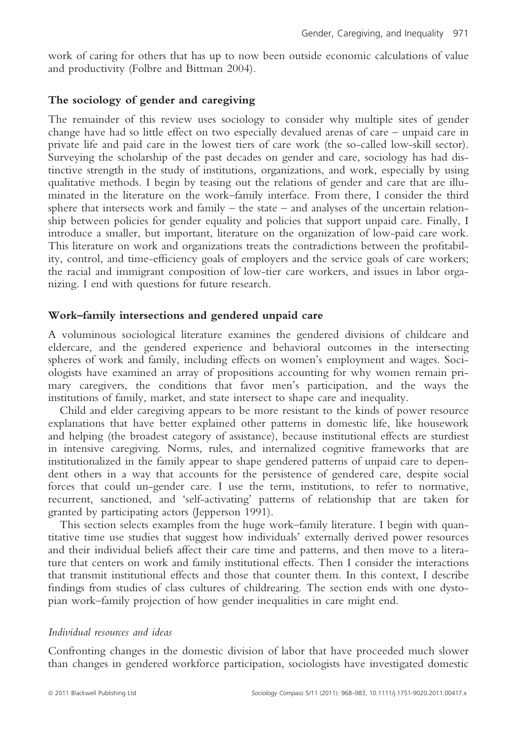work of caring for others that has up to now been outside economic calculations of value and productivity (Folbre and Bittman 2004).

## The sociology of gender and caregiving

The remainder of this review uses sociology to consider why multiple sites of gender change have had so little effect on two especially devalued arenas of care – unpaid care in private life and paid care in the lowest tiers of care work (the so-called low-skill sector). Surveying the scholarship of the past decades on gender and care, sociology has had distinctive strength in the study of institutions, organizations, and work, especially by using qualitative methods. I begin by teasing out the relations of gender and care that are illuminated in the literature on the work–family interface. From there, I consider the third sphere that intersects work and family – the state – and analyses of the uncertain relationship between policies for gender equality and policies that support unpaid care. Finally, I introduce a smaller, but important, literature on the organization of low-paid care work. This literature on work and organizations treats the contradictions between the profitability, control, and time-efficiency goals of employers and the service goals of care workers; the racial and immigrant composition of low-tier care workers, and issues in labor organizing. I end with questions for future research.

## Work–family intersections and gendered unpaid care

A voluminous sociological literature examines the gendered divisions of childcare and eldercare, and the gendered experience and behavioral outcomes in the intersecting spheres of work and family, including effects on women's employment and wages. Sociologists have examined an array of propositions accounting for why women remain primary caregivers, the conditions that favor men's participation, and the ways the institutions of family, market, and state intersect to shape care and inequality.

Child and elder caregiving appears to be more resistant to the kinds of power resource explanations that have better explained other patterns in domestic life, like housework and helping (the broadest category of assistance), because institutional effects are sturdiest in intensive caregiving. Norms, rules, and internalized cognitive frameworks that are institutionalized in the family appear to shape gendered patterns of unpaid care to dependent others in a way that accounts for the persistence of gendered care, despite social forces that could un-gender care. I use the term, institutions, to refer to normative, recurrent, sanctioned, and 'self-activating' patterns of relationship that are taken for granted by participating actors (Jepperson 1991).

This section selects examples from the huge work–family literature. I begin with quantitative time use studies that suggest how individuals' externally derived power resources and their individual beliefs affect their care time and patterns, and then move to a literature that centers on work and family institutional effects. Then I consider the interactions that transmit institutional effects and those that counter them. In this context, I describe findings from studies of class cultures of childrearing. The section ends with one dystopian work–family projection of how gender inequalities in care might end.

### Individual resources and ideas

Confronting changes in the domestic division of labor that have proceeded much slower than changes in gendered workforce participation, sociologists have investigated domestic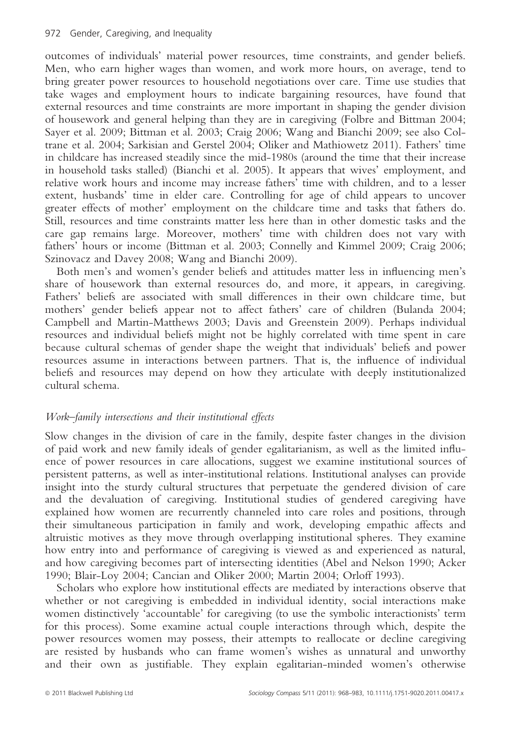outcomes of individuals' material power resources, time constraints, and gender beliefs. Men, who earn higher wages than women, and work more hours, on average, tend to bring greater power resources to household negotiations over care. Time use studies that take wages and employment hours to indicate bargaining resources, have found that external resources and time constraints are more important in shaping the gender division of housework and general helping than they are in caregiving (Folbre and Bittman 2004; Sayer et al. 2009; Bittman et al. 2003; Craig 2006; Wang and Bianchi 2009; see also Coltrane et al. 2004; Sarkisian and Gerstel 2004; Oliker and Mathiowetz 2011). Fathers' time in childcare has increased steadily since the mid-1980s (around the time that their increase in household tasks stalled) (Bianchi et al. 2005). It appears that wives' employment, and relative work hours and income may increase fathers' time with children, and to a lesser extent, husbands' time in elder care. Controlling for age of child appears to uncover greater effects of mother' employment on the childcare time and tasks that fathers do. Still, resources and time constraints matter less here than in other domestic tasks and the care gap remains large. Moreover, mothers' time with children does not vary with fathers' hours or income (Bittman et al. 2003; Connelly and Kimmel 2009; Craig 2006; Szinovacz and Davey 2008; Wang and Bianchi 2009).

Both men's and women's gender beliefs and attitudes matter less in influencing men's share of housework than external resources do, and more, it appears, in caregiving. Fathers' beliefs are associated with small differences in their own childcare time, but mothers' gender beliefs appear not to affect fathers' care of children (Bulanda 2004; Campbell and Martin-Matthews 2003; Davis and Greenstein 2009). Perhaps individual resources and individual beliefs might not be highly correlated with time spent in care because cultural schemas of gender shape the weight that individuals' beliefs and power resources assume in interactions between partners. That is, the influence of individual beliefs and resources may depend on how they articulate with deeply institutionalized cultural schema.

## Work–family intersections and their institutional effects

Slow changes in the division of care in the family, despite faster changes in the division of paid work and new family ideals of gender egalitarianism, as well as the limited influence of power resources in care allocations, suggest we examine institutional sources of persistent patterns, as well as inter-institutional relations. Institutional analyses can provide insight into the sturdy cultural structures that perpetuate the gendered division of care and the devaluation of caregiving. Institutional studies of gendered caregiving have explained how women are recurrently channeled into care roles and positions, through their simultaneous participation in family and work, developing empathic affects and altruistic motives as they move through overlapping institutional spheres. They examine how entry into and performance of caregiving is viewed as and experienced as natural, and how caregiving becomes part of intersecting identities (Abel and Nelson 1990; Acker 1990; Blair-Loy 2004; Cancian and Oliker 2000; Martin 2004; Orloff 1993).

Scholars who explore how institutional effects are mediated by interactions observe that whether or not caregiving is embedded in individual identity, social interactions make women distinctively 'accountable' for caregiving (to use the symbolic interactionists' term for this process). Some examine actual couple interactions through which, despite the power resources women may possess, their attempts to reallocate or decline caregiving are resisted by husbands who can frame women's wishes as unnatural and unworthy and their own as justifiable. They explain egalitarian-minded women's otherwise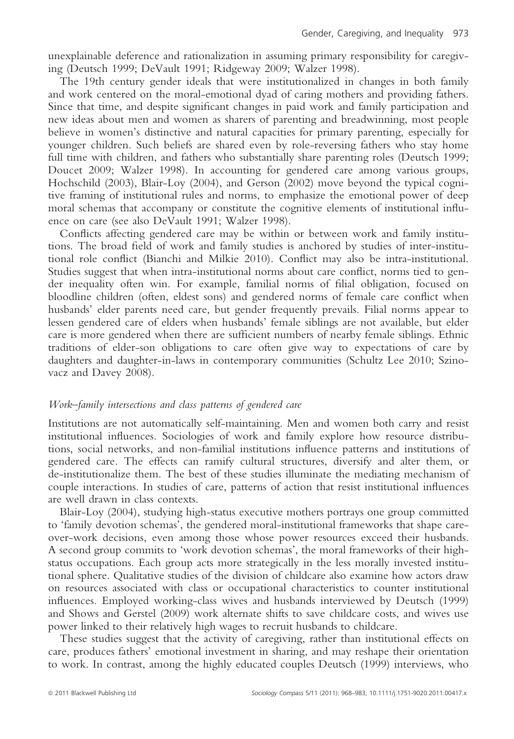unexplainable deference and rationalization in assuming primary responsibility for caregiving (Deutsch 1999; DeVault 1991; Ridgeway 2009; Walzer 1998).

The 19th century gender ideals that were institutionalized in changes in both family and work centered on the moral-emotional dyad of caring mothers and providing fathers. Since that time, and despite significant changes in paid work and family participation and new ideas about men and women as sharers of parenting and breadwinning, most people believe in women's distinctive and natural capacities for primary parenting, especially for younger children. Such beliefs are shared even by role-reversing fathers who stay home full time with children, and fathers who substantially share parenting roles (Deutsch 1999; Doucet 2009; Walzer 1998). In accounting for gendered care among various groups, Hochschild (2003), Blair-Loy (2004), and Gerson (2002) move beyond the typical cognitive framing of institutional rules and norms, to emphasize the emotional power of deep moral schemas that accompany or constitute the cognitive elements of institutional influence on care (see also DeVault 1991; Walzer 1998).

Conflicts affecting gendered care may be within or between work and family institutions. The broad field of work and family studies is anchored by studies of inter-institutional role conflict (Bianchi and Milkie 2010). Conflict may also be intra-institutional. Studies suggest that when intra-institutional norms about care conflict, norms tied to gender inequality often win. For example, familial norms of filial obligation, focused on bloodline children (often, eldest sons) and gendered norms of female care conflict when husbands' elder parents need care, but gender frequently prevails. Filial norms appear to lessen gendered care of elders when husbands' female siblings are not available, but elder care is more gendered when there are sufficient numbers of nearby female siblings. Ethnic traditions of elder-son obligations to care often give way to expectations of care by daughters and daughter-in-laws in contemporary communities (Schultz Lee 2010; Szinovacz and Davey 2008).

### Work–family intersections and class patterns of gendered care

Institutions are not automatically self-maintaining. Men and women both carry and resist institutional influences. Sociologies of work and family explore how resource distributions, social networks, and non-familial institutions influence patterns and institutions of gendered care. The effects can ramify cultural structures, diversify and alter them, or de-institutionalize them. The best of these studies illuminate the mediating mechanism of couple interactions. In studies of care, patterns of action that resist institutional influences are well drawn in class contexts.

Blair-Loy (2004), studying high-status executive mothers portrays one group committed to 'family devotion schemas', the gendered moral-institutional frameworks that shape careover-work decisions, even among those whose power resources exceed their husbands. A second group commits to 'work devotion schemas', the moral frameworks of their highstatus occupations. Each group acts more strategically in the less morally invested institutional sphere. Qualitative studies of the division of childcare also examine how actors draw on resources associated with class or occupational characteristics to counter institutional influences. Employed working-class wives and husbands interviewed by Deutsch (1999) and Shows and Gerstel (2009) work alternate shifts to save childcare costs, and wives use power linked to their relatively high wages to recruit husbands to childcare.

These studies suggest that the activity of caregiving, rather than institutional effects on care, produces fathers' emotional investment in sharing, and may reshape their orientation to work. In contrast, among the highly educated couples Deutsch (1999) interviews, who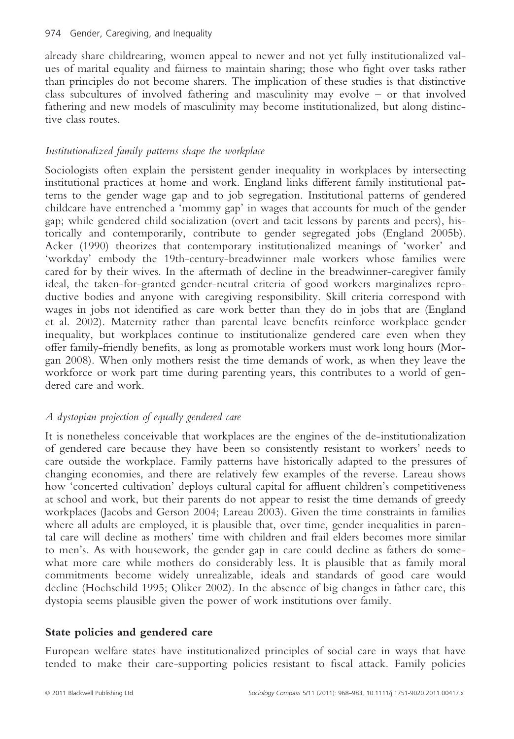already share childrearing, women appeal to newer and not yet fully institutionalized values of marital equality and fairness to maintain sharing; those who fight over tasks rather than principles do not become sharers. The implication of these studies is that distinctive class subcultures of involved fathering and masculinity may evolve – or that involved fathering and new models of masculinity may become institutionalized, but along distinctive class routes.

## Institutionalized family patterns shape the workplace

Sociologists often explain the persistent gender inequality in workplaces by intersecting institutional practices at home and work. England links different family institutional patterns to the gender wage gap and to job segregation. Institutional patterns of gendered childcare have entrenched a 'mommy gap' in wages that accounts for much of the gender gap; while gendered child socialization (overt and tacit lessons by parents and peers), historically and contemporarily, contribute to gender segregated jobs (England 2005b). Acker (1990) theorizes that contemporary institutionalized meanings of 'worker' and 'workday' embody the 19th-century-breadwinner male workers whose families were cared for by their wives. In the aftermath of decline in the breadwinner-caregiver family ideal, the taken-for-granted gender-neutral criteria of good workers marginalizes reproductive bodies and anyone with caregiving responsibility. Skill criteria correspond with wages in jobs not identified as care work better than they do in jobs that are (England et al. 2002). Maternity rather than parental leave benefits reinforce workplace gender inequality, but workplaces continue to institutionalize gendered care even when they offer family-friendly benefits, as long as promotable workers must work long hours (Morgan 2008). When only mothers resist the time demands of work, as when they leave the workforce or work part time during parenting years, this contributes to a world of gendered care and work.

# A dystopian projection of equally gendered care

It is nonetheless conceivable that workplaces are the engines of the de-institutionalization of gendered care because they have been so consistently resistant to workers' needs to care outside the workplace. Family patterns have historically adapted to the pressures of changing economies, and there are relatively few examples of the reverse. Lareau shows how 'concerted cultivation' deploys cultural capital for affluent children's competitiveness at school and work, but their parents do not appear to resist the time demands of greedy workplaces (Jacobs and Gerson 2004; Lareau 2003). Given the time constraints in families where all adults are employed, it is plausible that, over time, gender inequalities in parental care will decline as mothers' time with children and frail elders becomes more similar to men's. As with housework, the gender gap in care could decline as fathers do somewhat more care while mothers do considerably less. It is plausible that as family moral commitments become widely unrealizable, ideals and standards of good care would decline (Hochschild 1995; Oliker 2002). In the absence of big changes in father care, this dystopia seems plausible given the power of work institutions over family.

## State policies and gendered care

European welfare states have institutionalized principles of social care in ways that have tended to make their care-supporting policies resistant to fiscal attack. Family policies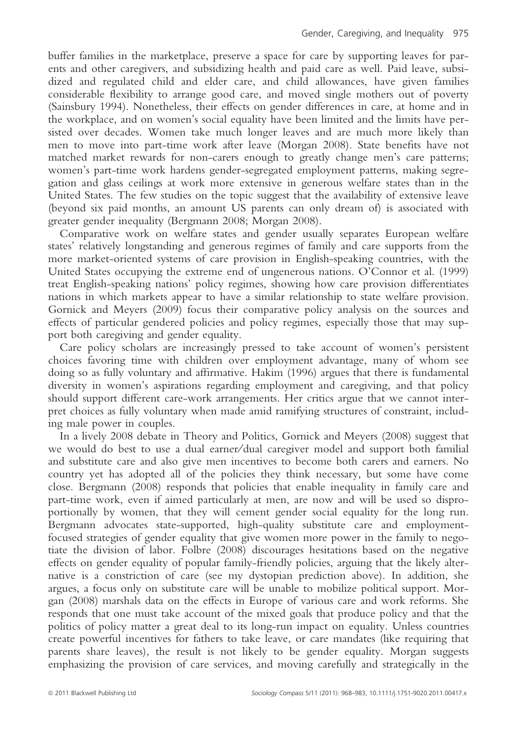buffer families in the marketplace, preserve a space for care by supporting leaves for parents and other caregivers, and subsidizing health and paid care as well. Paid leave, subsidized and regulated child and elder care, and child allowances, have given families considerable flexibility to arrange good care, and moved single mothers out of poverty (Sainsbury 1994). Nonetheless, their effects on gender differences in care, at home and in the workplace, and on women's social equality have been limited and the limits have persisted over decades. Women take much longer leaves and are much more likely than men to move into part-time work after leave (Morgan 2008). State benefits have not matched market rewards for non-carers enough to greatly change men's care patterns; women's part-time work hardens gender-segregated employment patterns, making segregation and glass ceilings at work more extensive in generous welfare states than in the United States. The few studies on the topic suggest that the availability of extensive leave (beyond six paid months, an amount US parents can only dream of) is associated with greater gender inequality (Bergmann 2008; Morgan 2008).

Comparative work on welfare states and gender usually separates European welfare states' relatively longstanding and generous regimes of family and care supports from the more market-oriented systems of care provision in English-speaking countries, with the United States occupying the extreme end of ungenerous nations. O'Connor et al. (1999) treat English-speaking nations' policy regimes, showing how care provision differentiates nations in which markets appear to have a similar relationship to state welfare provision. Gornick and Meyers (2009) focus their comparative policy analysis on the sources and effects of particular gendered policies and policy regimes, especially those that may support both caregiving and gender equality.

Care policy scholars are increasingly pressed to take account of women's persistent choices favoring time with children over employment advantage, many of whom see doing so as fully voluntary and affirmative. Hakim (1996) argues that there is fundamental diversity in women's aspirations regarding employment and caregiving, and that policy should support different care-work arrangements. Her critics argue that we cannot interpret choices as fully voluntary when made amid ramifying structures of constraint, including male power in couples.

In a lively 2008 debate in Theory and Politics, Gornick and Meyers (2008) suggest that we would do best to use a dual earner⁄ dual caregiver model and support both familial and substitute care and also give men incentives to become both carers and earners. No country yet has adopted all of the policies they think necessary, but some have come close. Bergmann (2008) responds that policies that enable inequality in family care and part-time work, even if aimed particularly at men, are now and will be used so disproportionally by women, that they will cement gender social equality for the long run. Bergmann advocates state-supported, high-quality substitute care and employmentfocused strategies of gender equality that give women more power in the family to negotiate the division of labor. Folbre (2008) discourages hesitations based on the negative effects on gender equality of popular family-friendly policies, arguing that the likely alternative is a constriction of care (see my dystopian prediction above). In addition, she argues, a focus only on substitute care will be unable to mobilize political support. Morgan (2008) marshals data on the effects in Europe of various care and work reforms. She responds that one must take account of the mixed goals that produce policy and that the politics of policy matter a great deal to its long-run impact on equality. Unless countries create powerful incentives for fathers to take leave, or care mandates (like requiring that parents share leaves), the result is not likely to be gender equality. Morgan suggests emphasizing the provision of care services, and moving carefully and strategically in the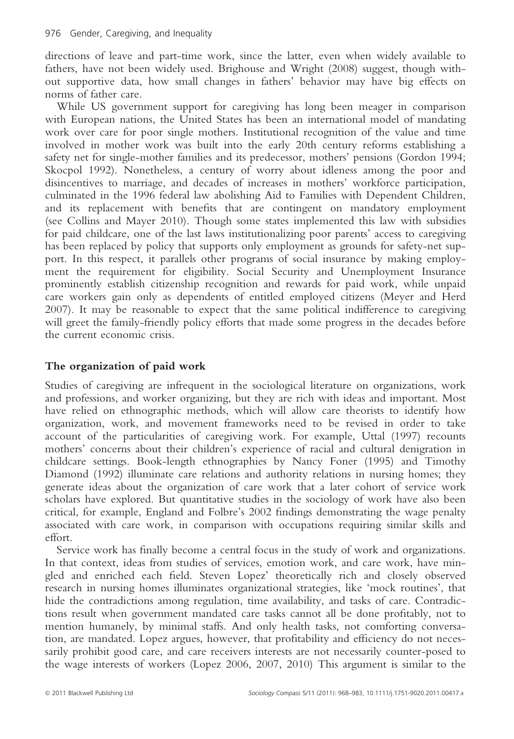directions of leave and part-time work, since the latter, even when widely available to fathers, have not been widely used. Brighouse and Wright (2008) suggest, though without supportive data, how small changes in fathers' behavior may have big effects on norms of father care.

While US government support for caregiving has long been meager in comparison with European nations, the United States has been an international model of mandating work over care for poor single mothers. Institutional recognition of the value and time involved in mother work was built into the early 20th century reforms establishing a safety net for single-mother families and its predecessor, mothers' pensions (Gordon 1994; Skocpol 1992). Nonetheless, a century of worry about idleness among the poor and disincentives to marriage, and decades of increases in mothers' workforce participation, culminated in the 1996 federal law abolishing Aid to Families with Dependent Children, and its replacement with benefits that are contingent on mandatory employment (see Collins and Mayer 2010). Though some states implemented this law with subsidies for paid childcare, one of the last laws institutionalizing poor parents' access to caregiving has been replaced by policy that supports only employment as grounds for safety-net support. In this respect, it parallels other programs of social insurance by making employment the requirement for eligibility. Social Security and Unemployment Insurance prominently establish citizenship recognition and rewards for paid work, while unpaid care workers gain only as dependents of entitled employed citizens (Meyer and Herd 2007). It may be reasonable to expect that the same political indifference to caregiving will greet the family-friendly policy efforts that made some progress in the decades before the current economic crisis.

## The organization of paid work

Studies of caregiving are infrequent in the sociological literature on organizations, work and professions, and worker organizing, but they are rich with ideas and important. Most have relied on ethnographic methods, which will allow care theorists to identify how organization, work, and movement frameworks need to be revised in order to take account of the particularities of caregiving work. For example, Uttal (1997) recounts mothers' concerns about their children's experience of racial and cultural denigration in childcare settings. Book-length ethnographies by Nancy Foner (1995) and Timothy Diamond (1992) illuminate care relations and authority relations in nursing homes; they generate ideas about the organization of care work that a later cohort of service work scholars have explored. But quantitative studies in the sociology of work have also been critical, for example, England and Folbre's 2002 findings demonstrating the wage penalty associated with care work, in comparison with occupations requiring similar skills and effort.

Service work has finally become a central focus in the study of work and organizations. In that context, ideas from studies of services, emotion work, and care work, have mingled and enriched each field. Steven Lopez' theoretically rich and closely observed research in nursing homes illuminates organizational strategies, like 'mock routines', that hide the contradictions among regulation, time availability, and tasks of care. Contradictions result when government mandated care tasks cannot all be done profitably, not to mention humanely, by minimal staffs. And only health tasks, not comforting conversation, are mandated. Lopez argues, however, that profitability and efficiency do not necessarily prohibit good care, and care receivers interests are not necessarily counter-posed to the wage interests of workers (Lopez 2006, 2007, 2010) This argument is similar to the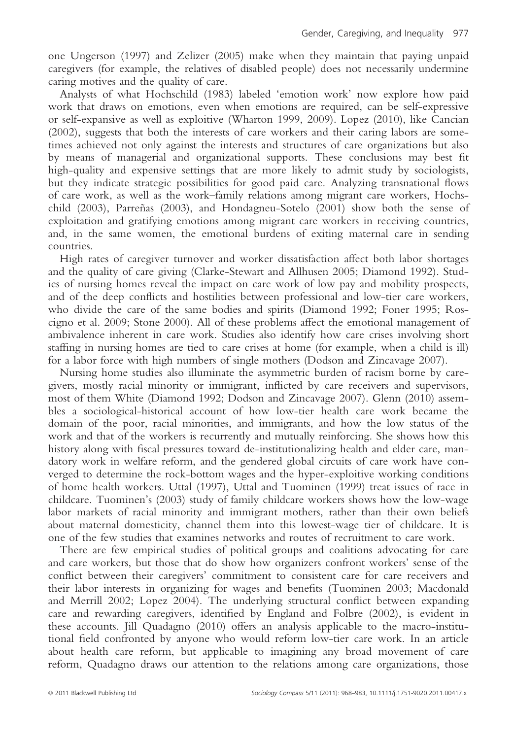one Ungerson (1997) and Zelizer (2005) make when they maintain that paying unpaid caregivers (for example, the relatives of disabled people) does not necessarily undermine caring motives and the quality of care.

Analysts of what Hochschild (1983) labeled 'emotion work' now explore how paid work that draws on emotions, even when emotions are required, can be self-expressive or self-expansive as well as exploitive (Wharton 1999, 2009). Lopez (2010), like Cancian (2002), suggests that both the interests of care workers and their caring labors are sometimes achieved not only against the interests and structures of care organizations but also by means of managerial and organizational supports. These conclusions may best fit high-quality and expensive settings that are more likely to admit study by sociologists, but they indicate strategic possibilities for good paid care. Analyzing transnational flows of care work, as well as the work–family relations among migrant care workers, Hochschild (2003), Parreñas (2003), and Hondagneu-Sotelo (2001) show both the sense of exploitation and gratifying emotions among migrant care workers in receiving countries, and, in the same women, the emotional burdens of exiting maternal care in sending countries.

High rates of caregiver turnover and worker dissatisfaction affect both labor shortages and the quality of care giving (Clarke-Stewart and Allhusen 2005; Diamond 1992). Studies of nursing homes reveal the impact on care work of low pay and mobility prospects, and of the deep conflicts and hostilities between professional and low-tier care workers, who divide the care of the same bodies and spirits (Diamond 1992; Foner 1995; Roscigno et al. 2009; Stone 2000). All of these problems affect the emotional management of ambivalence inherent in care work. Studies also identify how care crises involving short staffing in nursing homes are tied to care crises at home (for example, when a child is ill) for a labor force with high numbers of single mothers (Dodson and Zincavage 2007).

Nursing home studies also illuminate the asymmetric burden of racism borne by caregivers, mostly racial minority or immigrant, inflicted by care receivers and supervisors, most of them White (Diamond 1992; Dodson and Zincavage 2007). Glenn (2010) assembles a sociological-historical account of how low-tier health care work became the domain of the poor, racial minorities, and immigrants, and how the low status of the work and that of the workers is recurrently and mutually reinforcing. She shows how this history along with fiscal pressures toward de-institutionalizing health and elder care, mandatory work in welfare reform, and the gendered global circuits of care work have converged to determine the rock-bottom wages and the hyper-exploitive working conditions of home health workers. Uttal (1997), Uttal and Tuominen (1999) treat issues of race in childcare. Tuominen's (2003) study of family childcare workers shows how the low-wage labor markets of racial minority and immigrant mothers, rather than their own beliefs about maternal domesticity, channel them into this lowest-wage tier of childcare. It is one of the few studies that examines networks and routes of recruitment to care work.

There are few empirical studies of political groups and coalitions advocating for care and care workers, but those that do show how organizers confront workers' sense of the conflict between their caregivers' commitment to consistent care for care receivers and their labor interests in organizing for wages and benefits (Tuominen 2003; Macdonald and Merrill 2002; Lopez 2004). The underlying structural conflict between expanding care and rewarding caregivers, identified by England and Folbre (2002), is evident in these accounts. Jill Quadagno (2010) offers an analysis applicable to the macro-institutional field confronted by anyone who would reform low-tier care work. In an article about health care reform, but applicable to imagining any broad movement of care reform, Quadagno draws our attention to the relations among care organizations, those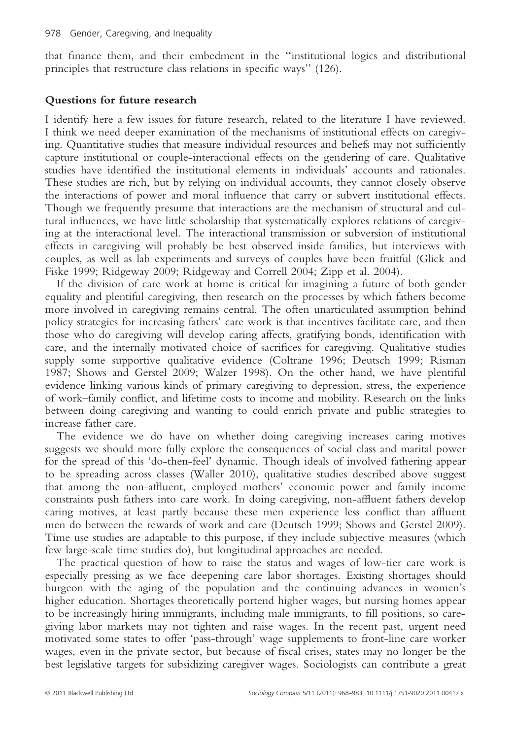that finance them, and their embedment in the ''institutional logics and distributional principles that restructure class relations in specific ways'' (126).

#### Questions for future research

I identify here a few issues for future research, related to the literature I have reviewed. I think we need deeper examination of the mechanisms of institutional effects on caregiving. Quantitative studies that measure individual resources and beliefs may not sufficiently capture institutional or couple-interactional effects on the gendering of care. Qualitative studies have identified the institutional elements in individuals' accounts and rationales. These studies are rich, but by relying on individual accounts, they cannot closely observe the interactions of power and moral influence that carry or subvert institutional effects. Though we frequently presume that interactions are the mechanism of structural and cultural influences, we have little scholarship that systematically explores relations of caregiving at the interactional level. The interactional transmission or subversion of institutional effects in caregiving will probably be best observed inside families, but interviews with couples, as well as lab experiments and surveys of couples have been fruitful (Glick and Fiske 1999; Ridgeway 2009; Ridgeway and Correll 2004; Zipp et al. 2004).

If the division of care work at home is critical for imagining a future of both gender equality and plentiful caregiving, then research on the processes by which fathers become more involved in caregiving remains central. The often unarticulated assumption behind policy strategies for increasing fathers' care work is that incentives facilitate care, and then those who do caregiving will develop caring affects, gratifying bonds, identification with care, and the internally motivated choice of sacrifices for caregiving. Qualitative studies supply some supportive qualitative evidence (Coltrane 1996; Deutsch 1999; Risman 1987; Shows and Gerstel 2009; Walzer 1998). On the other hand, we have plentiful evidence linking various kinds of primary caregiving to depression, stress, the experience of work–family conflict, and lifetime costs to income and mobility. Research on the links between doing caregiving and wanting to could enrich private and public strategies to increase father care.

The evidence we do have on whether doing caregiving increases caring motives suggests we should more fully explore the consequences of social class and marital power for the spread of this 'do-then-feel' dynamic. Though ideals of involved fathering appear to be spreading across classes (Waller 2010), qualitative studies described above suggest that among the non-affluent, employed mothers' economic power and family income constraints push fathers into care work. In doing caregiving, non-affluent fathers develop caring motives, at least partly because these men experience less conflict than affluent men do between the rewards of work and care (Deutsch 1999; Shows and Gerstel 2009). Time use studies are adaptable to this purpose, if they include subjective measures (which few large-scale time studies do), but longitudinal approaches are needed.

The practical question of how to raise the status and wages of low-tier care work is especially pressing as we face deepening care labor shortages. Existing shortages should burgeon with the aging of the population and the continuing advances in women's higher education. Shortages theoretically portend higher wages, but nursing homes appear to be increasingly hiring immigrants, including male immigrants, to fill positions, so caregiving labor markets may not tighten and raise wages. In the recent past, urgent need motivated some states to offer 'pass-through' wage supplements to front-line care worker wages, even in the private sector, but because of fiscal crises, states may no longer be the best legislative targets for subsidizing caregiver wages. Sociologists can contribute a great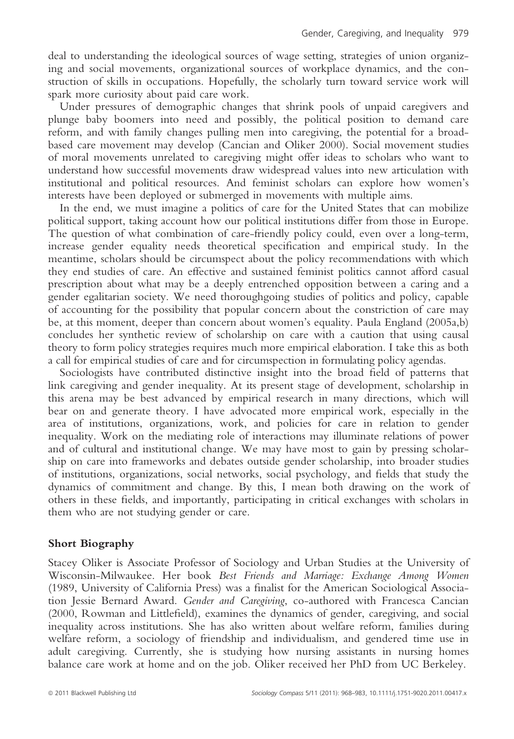deal to understanding the ideological sources of wage setting, strategies of union organizing and social movements, organizational sources of workplace dynamics, and the construction of skills in occupations. Hopefully, the scholarly turn toward service work will spark more curiosity about paid care work.

Under pressures of demographic changes that shrink pools of unpaid caregivers and plunge baby boomers into need and possibly, the political position to demand care reform, and with family changes pulling men into caregiving, the potential for a broadbased care movement may develop (Cancian and Oliker 2000). Social movement studies of moral movements unrelated to caregiving might offer ideas to scholars who want to understand how successful movements draw widespread values into new articulation with institutional and political resources. And feminist scholars can explore how women's interests have been deployed or submerged in movements with multiple aims.

In the end, we must imagine a politics of care for the United States that can mobilize political support, taking account how our political institutions differ from those in Europe. The question of what combination of care-friendly policy could, even over a long-term, increase gender equality needs theoretical specification and empirical study. In the meantime, scholars should be circumspect about the policy recommendations with which they end studies of care. An effective and sustained feminist politics cannot afford casual prescription about what may be a deeply entrenched opposition between a caring and a gender egalitarian society. We need thoroughgoing studies of politics and policy, capable of accounting for the possibility that popular concern about the constriction of care may be, at this moment, deeper than concern about women's equality. Paula England (2005a,b) concludes her synthetic review of scholarship on care with a caution that using causal theory to form policy strategies requires much more empirical elaboration. I take this as both a call for empirical studies of care and for circumspection in formulating policy agendas.

Sociologists have contributed distinctive insight into the broad field of patterns that link caregiving and gender inequality. At its present stage of development, scholarship in this arena may be best advanced by empirical research in many directions, which will bear on and generate theory. I have advocated more empirical work, especially in the area of institutions, organizations, work, and policies for care in relation to gender inequality. Work on the mediating role of interactions may illuminate relations of power and of cultural and institutional change. We may have most to gain by pressing scholarship on care into frameworks and debates outside gender scholarship, into broader studies of institutions, organizations, social networks, social psychology, and fields that study the dynamics of commitment and change. By this, I mean both drawing on the work of others in these fields, and importantly, participating in critical exchanges with scholars in them who are not studying gender or care.

### Short Biography

Stacey Oliker is Associate Professor of Sociology and Urban Studies at the University of Wisconsin-Milwaukee. Her book Best Friends and Marriage: Exchange Among Women (1989, University of California Press) was a finalist for the American Sociological Association Jessie Bernard Award. Gender and Caregiving, co-authored with Francesca Cancian (2000, Rowman and Littlefield), examines the dynamics of gender, caregiving, and social inequality across institutions. She has also written about welfare reform, families during welfare reform, a sociology of friendship and individualism, and gendered time use in adult caregiving. Currently, she is studying how nursing assistants in nursing homes balance care work at home and on the job. Oliker received her PhD from UC Berkeley.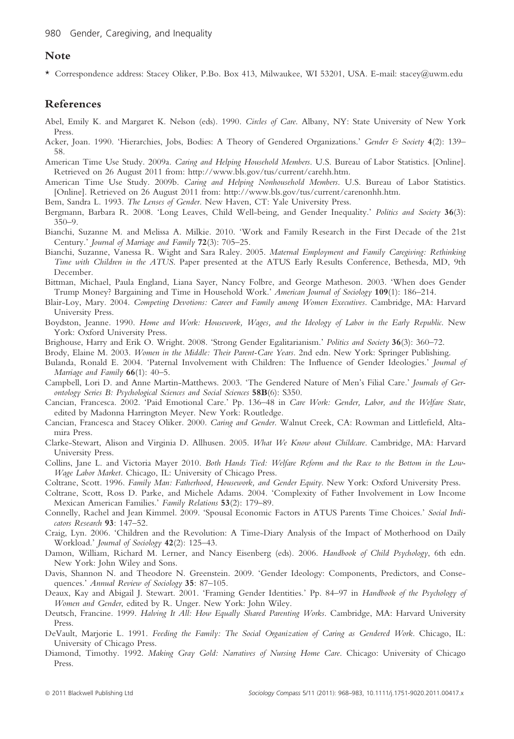#### Note

\* Correspondence address: Stacey Oliker, P.Bo. Box 413, Milwaukee, WI 53201, USA. E-mail: stacey@uwm.edu

#### References

- Abel, Emily K. and Margaret K. Nelson (eds). 1990. Circles of Care. Albany, NY: State University of New York Press.
- Acker, Joan. 1990. 'Hierarchies, Jobs, Bodies: A Theory of Gendered Organizations.' Gender & Society 4(2): 139– 58.
- American Time Use Study. 2009a. Caring and Helping Household Members. U.S. Bureau of Labor Statistics. [Online]. Retrieved on 26 August 2011 from: http://www.bls.gov/tus/current/carehh.htm.
- American Time Use Study. 2009b. Caring and Helping Nonhousehold Members. U.S. Bureau of Labor Statistics. [Online]. Retrieved on 26 August 2011 from: http://www.bls.gov/tus/current/carenonhh.htm.
- Bem, Sandra L. 1993. The Lenses of Gender. New Haven, CT: Yale University Press.
- Bergmann, Barbara R. 2008. 'Long Leaves, Child Well-being, and Gender Inequality.' Politics and Society 36(3): 350–9.
- Bianchi, Suzanne M. and Melissa A. Milkie. 2010. 'Work and Family Research in the First Decade of the 21st Century.' Journal of Marriage and Family 72(3): 705–25.
- Bianchi, Suzanne, Vanessa R. Wight and Sara Raley. 2005. Maternal Employment and Family Caregiving: Rethinking Time with Children in the ATUS. Paper presented at the ATUS Early Results Conference, Bethesda, MD, 9th December.
- Bittman, Michael, Paula England, Liana Sayer, Nancy Folbre, and George Matheson. 2003. 'When does Gender Trump Money? Bargaining and Time in Household Work.' American Journal of Sociology 109(1): 186–214.
- Blair-Loy, Mary. 2004. Competing Devotions: Career and Family among Women Executives. Cambridge, MA: Harvard University Press.
- Boydston, Jeanne. 1990. Home and Work: Housework, Wages, and the Ideology of Labor in the Early Republic. New York: Oxford University Press.
- Brighouse, Harry and Erik O. Wright. 2008. 'Strong Gender Egalitarianism.' Politics and Society 36(3): 360–72.
- Brody, Elaine M. 2003. Women in the Middle: Their Parent-Care Years. 2nd edn. New York: Springer Publishing.
- Bulanda, Ronald E. 2004. 'Paternal Involvement with Children: The Influence of Gender Ideologies.' Journal of Marriage and Family  $66(1)$ : 40-5.
- Campbell, Lori D. and Anne Martin-Matthews. 2003. 'The Gendered Nature of Men's Filial Care.' Journals of Gerontology Series B: Psychological Sciences and Social Sciences 58B(6): S350.
- Cancian, Francesca. 2002. 'Paid Emotional Care.' Pp. 136–48 in Care Work: Gender, Labor, and the Welfare State, edited by Madonna Harrington Meyer. New York: Routledge.
- Cancian, Francesca and Stacey Oliker. 2000. Caring and Gender. Walnut Creek, CA: Rowman and Littlefield, Altamira Press.
- Clarke-Stewart, Alison and Virginia D. Allhusen. 2005. What We Know about Childcare. Cambridge, MA: Harvard University Press.
- Collins, Jane L. and Victoria Mayer 2010. Both Hands Tied: Welfare Reform and the Race to the Bottom in the Low-Wage Labor Market. Chicago, IL: University of Chicago Press.
- Coltrane, Scott. 1996. Family Man: Fatherhood, Housework, and Gender Equity. New York: Oxford University Press.
- Coltrane, Scott, Ross D. Parke, and Michele Adams. 2004. 'Complexity of Father Involvement in Low Income Mexican American Families.' Family Relations 53(2): 179–89.
- Connelly, Rachel and Jean Kimmel. 2009. 'Spousal Economic Factors in ATUS Parents Time Choices.' Social Indicators Research 93: 147–52.
- Craig, Lyn. 2006. 'Children and the Revolution: A Time-Diary Analysis of the Impact of Motherhood on Daily Workload.' Journal of Sociology 42(2): 125–43.
- Damon, William, Richard M. Lerner, and Nancy Eisenberg (eds). 2006. Handbook of Child Psychology, 6th edn. New York: John Wiley and Sons.
- Davis, Shannon N. and Theodore N. Greenstein. 2009. 'Gender Ideology: Components, Predictors, and Consequences.' Annual Review of Sociology 35: 87-105.
- Deaux, Kay and Abigail J. Stewart. 2001. 'Framing Gender Identities.' Pp. 84–97 in Handbook of the Psychology of Women and Gender, edited by R. Unger. New York: John Wiley.
- Deutsch, Francine. 1999. Halving It All: How Equally Shared Parenting Works. Cambridge, MA: Harvard University Press.
- DeVault, Marjorie L. 1991. Feeding the Family: The Social Organization of Caring as Gendered Work. Chicago, IL: University of Chicago Press.
- Diamond, Timothy. 1992. Making Gray Gold: Narratives of Nursing Home Care. Chicago: University of Chicago Press.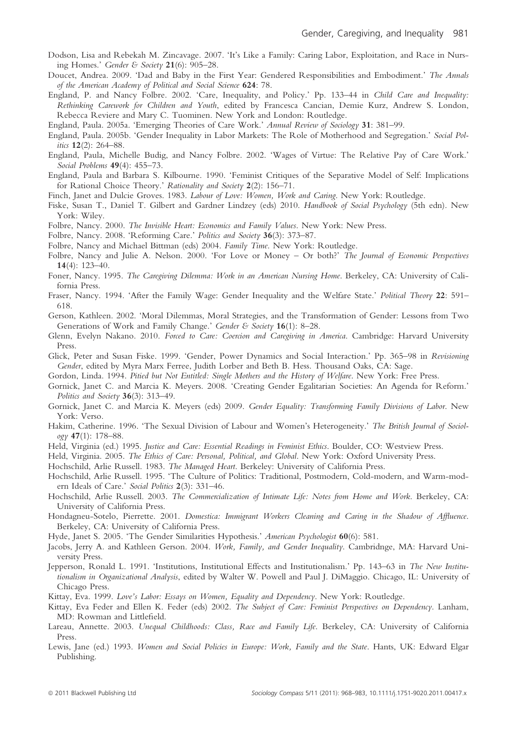- Dodson, Lisa and Rebekah M. Zincavage. 2007. 'It's Like a Family: Caring Labor, Exploitation, and Race in Nursing Homes.' Gender & Society 21(6): 905–28.
- Doucet, Andrea. 2009. 'Dad and Baby in the First Year: Gendered Responsibilities and Embodiment.' The Annals of the American Academy of Political and Social Science 624: 78.
- England, P. and Nancy Folbre. 2002. 'Care, Inequality, and Policy.' Pp. 133–44 in Child Care and Inequality: Rethinking Carework for Children and Youth, edited by Francesca Cancian, Demie Kurz, Andrew S. London, Rebecca Reviere and Mary C. Tuominen. New York and London: Routledge.
- England, Paula. 2005a. 'Emerging Theories of Care Work.' Annual Review of Sociology 31: 381–99.
- England, Paula. 2005b. 'Gender Inequality in Labor Markets: The Role of Motherhood and Segregation.' Social Politics 12(2): 264–88.
- England, Paula, Michelle Budig, and Nancy Folbre. 2002. 'Wages of Virtue: The Relative Pay of Care Work.' Social Problems 49(4): 455–73.
- England, Paula and Barbara S. Kilbourne. 1990. 'Feminist Critiques of the Separative Model of Self: Implications for Rational Choice Theory.' Rationality and Society 2(2): 156–71.
- Finch, Janet and Dulcie Groves. 1983. Labour of Love: Women, Work and Caring. New York: Routledge.
- Fiske, Susan T., Daniel T. Gilbert and Gardner Lindzey (eds) 2010. Handbook of Social Psychology (5th edn). New York: Wiley.
- Folbre, Nancy. 2000. The Invisible Heart: Economics and Family Values. New York: New Press.
- Folbre, Nancy. 2008. 'Reforming Care.' Politics and Society 36(3): 373–87.
- Folbre, Nancy and Michael Bittman (eds) 2004. Family Time. New York: Routledge.
- Folbre, Nancy and Julie A. Nelson. 2000. 'For Love or Money Or both?' The Journal of Economic Perspectives 14(4): 123–40.
- Foner, Nancy. 1995. The Caregiving Dilemma: Work in an American Nursing Home. Berkeley, CA: University of California Press.
- Fraser, Nancy. 1994. 'After the Family Wage: Gender Inequality and the Welfare State.' Political Theory 22: 591-618.
- Gerson, Kathleen. 2002. 'Moral Dilemmas, Moral Strategies, and the Transformation of Gender: Lessons from Two Generations of Work and Family Change.' Gender & Society 16(1): 8-28.
- Glenn, Evelyn Nakano. 2010. Forced to Care: Coercion and Caregiving in America. Cambridge: Harvard University Press.
- Glick, Peter and Susan Fiske. 1999. 'Gender, Power Dynamics and Social Interaction.' Pp. 365–98 in Revisioning Gender, edited by Myra Marx Ferree, Judith Lorber and Beth B. Hess. Thousand Oaks, CA: Sage.
- Gordon, Linda. 1994. Pitied but Not Entitled: Single Mothers and the History of Welfare. New York: Free Press.
- Gornick, Janet C. and Marcia K. Meyers. 2008. 'Creating Gender Egalitarian Societies: An Agenda for Reform.' Politics and Society 36(3): 313-49.
- Gornick, Janet C. and Marcia K. Meyers (eds) 2009. Gender Equality: Transforming Family Divisions of Labor. New York: Verso.
- Hakim, Catherine. 1996. 'The Sexual Division of Labour and Women's Heterogeneity.' The British Journal of Sociology 47(1): 178–88.
- Held, Virginia (ed.) 1995. Justice and Care: Essential Readings in Feminist Ethics. Boulder, CO: Westview Press.
- Held, Virginia. 2005. The Ethics of Care: Personal, Political, and Global. New York: Oxford University Press.
- Hochschild, Arlie Russell. 1983. The Managed Heart. Berkeley: University of California Press.
- Hochschild, Arlie Russell. 1995. 'The Culture of Politics: Traditional, Postmodern, Cold-modern, and Warm-modern Ideals of Care.' Social Politics 2(3): 331-46.
- Hochschild, Arlie Russell. 2003. The Commercialization of Intimate Life: Notes from Home and Work. Berkeley, CA: University of California Press.
- Hondagneu-Sotelo, Pierrette. 2001. Domestica: Immigrant Workers Cleaning and Caring in the Shadow of Affluence. Berkeley, CA: University of California Press.
- Hyde, Janet S. 2005. 'The Gender Similarities Hypothesis.' American Psychologist 60(6): 581.
- Jacobs, Jerry A. and Kathleen Gerson. 2004. Work, Family, and Gender Inequality. Cambridnge, MA: Harvard University Press.
- Jepperson, Ronald L. 1991. 'Institutions, Institutional Effects and Institutionalism.' Pp. 143-63 in The New Institutionalism in Organizational Analysis, edited by Walter W. Powell and Paul J. DiMaggio. Chicago, IL: University of Chicago Press.
- Kittay, Eva. 1999. Love's Labor: Essays on Women, Equality and Dependency. New York: Routledge.
- Kittay, Eva Feder and Ellen K. Feder (eds) 2002. The Subject of Care: Feminist Perspectives on Dependency. Lanham, MD: Rowman and Littlefield.
- Lareau, Annette. 2003. Unequal Childhoods: Class, Race and Family Life. Berkeley, CA: University of California Press.
- Lewis, Jane (ed.) 1993. Women and Social Policies in Europe: Work, Family and the State. Hants, UK: Edward Elgar Publishing.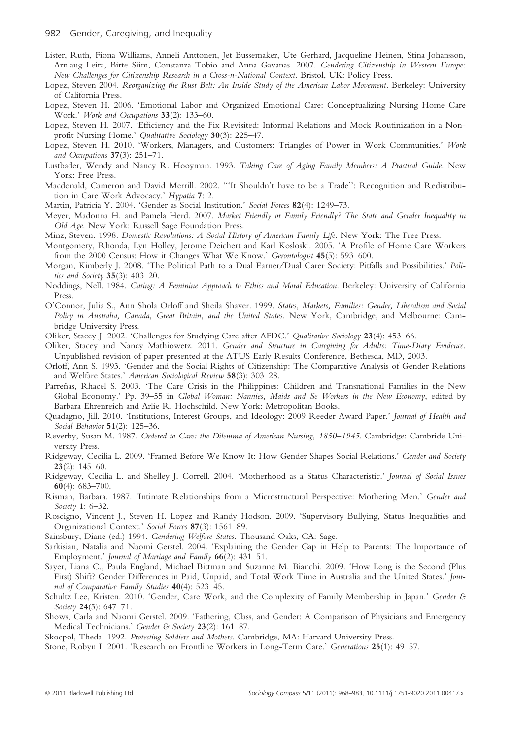- Lister, Ruth, Fiona Williams, Anneli Anttonen, Jet Bussemaker, Ute Gerhard, Jacqueline Heinen, Stina Johansson, Arnlaug Leira, Birte Siim, Constanza Tobio and Anna Gavanas. 2007. Gendering Citizenship in Western Europe: New Challenges for Citizenship Research in a Cross-n-National Context. Bristol, UK: Policy Press.
- Lopez, Steven 2004. Reorganizing the Rust Belt: An Inside Study of the American Labor Movement. Berkeley: University of California Press.
- Lopez, Steven H. 2006. 'Emotional Labor and Organized Emotional Care: Conceptualizing Nursing Home Care Work.' Work and Occupations 33(2): 133-60.
- Lopez, Steven H. 2007. 'Efficiency and the Fix Revisited: Informal Relations and Mock Routinization in a Nonprofit Nursing Home.' Qualitative Sociology 30(3): 225–47.
- Lopez, Steven H. 2010. 'Workers, Managers, and Customers: Triangles of Power in Work Communities.' Work and Occupations 37(3): 251–71.
- Lustbader, Wendy and Nancy R. Hooyman. 1993. Taking Care of Aging Family Members: A Practical Guide. New York: Free Press.
- Macdonald, Cameron and David Merrill. 2002. '''It Shouldn't have to be a Trade'': Recognition and Redistribution in Care Work Advocacy.' Hypatia 7: 2.
- Martin, Patricia Y. 2004. 'Gender as Social Institution.' Social Forces 82(4): 1249-73.
- Meyer, Madonna H. and Pamela Herd. 2007. Market Friendly or Family Friendly? The State and Gender Inequality in Old Age. New York: Russell Sage Foundation Press.
- Minz, Steven. 1998. Domestic Revolutions: A Social History of American Family Life. New York: The Free Press.
- Montgomery, Rhonda, Lyn Holley, Jerome Deichert and Karl Kosloski. 2005. 'A Profile of Home Care Workers from the 2000 Census: How it Changes What We Know.' Gerontologist 45(5): 593–600.
- Morgan, Kimberly J. 2008. 'The Political Path to a Dual Earner/Dual Carer Society: Pitfalls and Possibilities.' Politics and Society 35(3): 403–20.
- Noddings, Nell. 1984. Caring: A Feminine Approach to Ethics and Moral Education. Berkeley: University of California Press.
- O'Connor, Julia S., Ann Shola Orloff and Sheila Shaver. 1999. States, Markets, Families: Gender, Liberalism and Social Policy in Australia, Canada, Great Britain, and the United States. New York, Cambridge, and Melbourne: Cambridge University Press.
- Oliker, Stacey J. 2002. 'Challenges for Studying Care after AFDC.' Qualitative Sociology 23(4): 453–66.
- Oliker, Stacey and Nancy Mathiowetz. 2011. Gender and Structure in Caregiving for Adults: Time-Diary Evidence. Unpublished revision of paper presented at the ATUS Early Results Conference, Bethesda, MD, 2003.
- Orloff, Ann S. 1993. 'Gender and the Social Rights of Citizenship: The Comparative Analysis of Gender Relations and Welfare States.' American Sociological Review 58(3): 303–28.
- Parreñas, Rhacel S. 2003. 'The Care Crisis in the Philippines: Children and Transnational Families in the New Global Economy.' Pp. 39–55 in Global Woman: Nannies, Maids and Se Workers in the New Economy, edited by Barbara Ehrenreich and Arlie R. Hochschild. New York: Metropolitan Books.
- Quadagno, Jill. 2010. 'Institutions, Interest Groups, and Ideology: 2009 Reeder Award Paper.' Journal of Health and Social Behavior 51(2): 125–36.
- Reverby, Susan M. 1987. Ordered to Care: the Dilemma of American Nursing, 1850–1945. Cambridge: Cambride University Press.
- Ridgeway, Cecilia L. 2009. 'Framed Before We Know It: How Gender Shapes Social Relations.' Gender and Society  $23(2): 145-60.$
- Ridgeway, Cecilia L. and Shelley J. Correll. 2004. 'Motherhood as a Status Characteristic.' Journal of Social Issues 60(4):  $683-700$ .
- Risman, Barbara. 1987. 'Intimate Relationships from a Microstructural Perspective: Mothering Men.' Gender and Society 1: 6-32.
- Roscigno, Vincent J., Steven H. Lopez and Randy Hodson. 2009. 'Supervisory Bullying, Status Inequalities and Organizational Context.' Social Forces 87(3): 1561-89.
- Sainsbury, Diane (ed.) 1994. Gendering Welfare States. Thousand Oaks, CA: Sage.
- Sarkisian, Natalia and Naomi Gerstel. 2004. 'Explaining the Gender Gap in Help to Parents: The Importance of Employment.' Journal of Marriage and Family 66(2): 431–51.
- Sayer, Liana C., Paula England, Michael Bittman and Suzanne M. Bianchi. 2009. 'How Long is the Second (Plus First) Shift? Gender Differences in Paid, Unpaid, and Total Work Time in Australia and the United States.' Journal of Comparative Family Studies 40(4): 523–45.
- Schultz Lee, Kristen. 2010. 'Gender, Care Work, and the Complexity of Family Membership in Japan.' Gender & Society 24(5): 647-71.
- Shows, Carla and Naomi Gerstel. 2009. 'Fathering, Class, and Gender: A Comparison of Physicians and Emergency Medical Technicians.' Gender & Society 23(2): 161-87.
- Skocpol, Theda. 1992. Protecting Soldiers and Mothers. Cambridge, MA: Harvard University Press.
- Stone, Robyn I. 2001. 'Research on Frontline Workers in Long-Term Care.' Generations 25(1): 49–57.